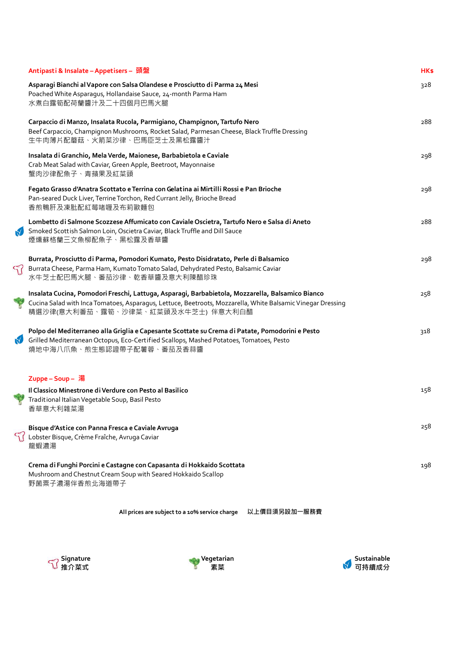|                | Antipasti & Insalate - Appetisers - 頭盤                                                                                                                                                                                                                | HK\$ |
|----------------|-------------------------------------------------------------------------------------------------------------------------------------------------------------------------------------------------------------------------------------------------------|------|
|                | Asparagi Bianchi al Vapore con Salsa Olandese e Prosciutto di Parma 24 Mesi<br>Poached White Asparagus, Hollandaise Sauce, 24-month Parma Ham<br>水煮白露筍配荷蘭醬汁及二十四個月巴馬火腿                                                                                 | 328  |
|                | Carpaccio di Manzo, Insalata Rucola, Parmigiano, Champignon, Tartufo Nero<br>Beef Carpaccio, Champignon Mushrooms, Rocket Salad, Parmesan Cheese, Black Truffle Dressing<br>生牛肉薄片配蘑菇、火箭菜沙律、巴馬臣芝士及黑松露醬汁                                                | 288  |
|                | Insalata di Granchio, Mela Verde, Maionese, Barbabietola e Caviale<br>Crab Meat Salad with Caviar, Green Apple, Beetroot, Mayonnaise<br>蟹肉沙律配魚子、青蘋果及紅菜頭                                                                                               | 298  |
|                | Fegato Grasso d'Anatra Scottato e Terrina con Gelatina ai Mirtilli Rossi e Pan Brioche<br>Pan-seared Duck Liver, Terrine Torchon, Red Currant Jelly, Brioche Bread<br>香煎鴨肝及凍肶配紅莓啫喱及布莉歐麵包                                                              | 298  |
|                | Lombetto di Salmone Scozzese Affumicato con Caviale Oscietra, Tartufo Nero e Salsa di Aneto<br>Smoked Scott ish Salmon Loin, Oscietra Caviar, Black Truffle and Dill Sauce<br>煙燻蘇格蘭三文魚柳配魚子、黑松露及香草醬                                                    | 288  |
| $\mathcal{F}'$ | Burrata, Prosciutto di Parma, Pomodori Kumato, Pesto Disidratato, Perle di Balsamico<br>Burrata Cheese, Parma Ham, Kumato Tomato Salad, Dehydrated Pesto, Balsamic Caviar<br>水牛芝士配巴馬火腿、番茄沙律、乾香草醬及意大利陳醋珍珠                                              | 298  |
|                | Insalata Cucina, Pomodori Freschi, Lattuga, Asparagi, Barbabietola, Mozzarella, Balsamico Bianco<br>Cucina Salad with Inca Tomatoes, Asparagus, Lettuce, Beetroots, Mozzarella, White Balsamic Vinegar Dressing<br>精選沙律(意大利番茄、露筍、沙律菜、紅菜頭及水牛芝士) 伴意大利白醋 | 258  |
| $\mathbf{N}$   | Polpo del Mediterraneo alla Griglia e Capesante Scottate su Crema di Patate, Pomodorini e Pesto<br>Grilled Mediterranean Octopus, Eco-Certified Scallops, Mashed Potatoes, Tomatoes, Pesto<br>燒地中海八爪魚、煎生態認證帶子配薯蓉、番茄及香蒜醬                               | 318  |
|                | Zuppe-Soup- 湯                                                                                                                                                                                                                                         |      |
|                | Il Classico Minestrone di Verdure con Pesto al Basilico<br>Traditional Italian Vegetable Soup, Basil Pesto<br>香草意大利雜菜湯                                                                                                                                | 158  |
|                | Bisque d'Astice con Panna Fresca e Caviale Avruga<br>Lobster Bisque, Crème Fraîche, Avruga Caviar<br>龍蝦濃湯                                                                                                                                             | 258  |
|                | Crema di Funghi Porcini e Castagne con Capasanta di Hokkaido Scottata<br>Mushroom and Chestnut Cream Soup with Seared Hokkaido Scallop<br>野菌粟子濃湯伴香煎北海道帶子                                                                                              | 198  |

**All prices are subject to a 10% service charge 以上價目須另設加一服務費**





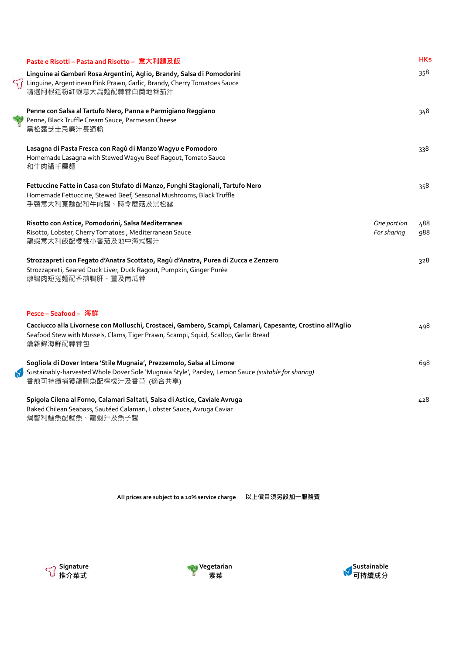| Paste e Risotti – Pasta and Risotto – 意大利麵及飯                                                                                                                                                                    |                            | <b>HKs</b> |
|-----------------------------------------------------------------------------------------------------------------------------------------------------------------------------------------------------------------|----------------------------|------------|
| Linguine ai Gamberi Rosa Argentini, Aglio, Brandy, Salsa di Pomodorini<br>Linguine, Argentinean Pink Prawn, Garlic, Brandy, Cherry Tomatoes Sauce<br>精選阿根廷粉紅蝦意大扁麵配蒜蓉白蘭地番茄汁                                      |                            | 358        |
| Penne con Salsa al Tartufo Nero, Panna e Parmigiano Reggiano<br>Penne, Black Truffle Cream Sauce, Parmesan Cheese<br>黑松露芝士忌廉汁長通粉                                                                                |                            | 348        |
| Lasagna di Pasta Fresca con Ragù di Manzo Wagyu e Pomodoro<br>Homemade Lasagna with Stewed Wagyu Beef Ragout, Tomato Sauce<br>和牛肉醬千層麵                                                                           |                            | 338        |
| Fettuccine Fatte in Casa con Stufato di Manzo, Funghi Stagionali, Tartufo Nero<br>Homemade Fettuccine, Stewed Beef, Seasonal Mushrooms, Black Truffle<br>手製意大利寬麵配和牛肉醬、時令蘑菇及黑松露                                  |                            | 358        |
| Risotto con Astice, Pomodorini, Salsa Mediterranea<br>Risotto, Lobster, Cherry Tomatoes, Mediterranean Sauce<br>龍蝦意大利飯配櫻桃小番茄及地中海式醬汁                                                                             | One portion<br>For sharing | 488<br>988 |
| Strozzapreti con Fegato d'Anatra Scottato, Ragù d'Anatra, Purea di Zucca e Zenzero<br>Strozzapreti, Seared Duck Liver, Duck Ragout, Pumpkin, Ginger Purée<br>燉鴨肉短捲麵配香煎鴨肝、薑及南瓜蓉                                  |                            | 328        |
| Pesce - Seafood - 海鮮                                                                                                                                                                                            |                            |            |
| Cacciucco alla Livornese con Molluschi, Crostacei, Gambero, Scampi, Calamari, Capesante, Crostino all'Aglio<br>Seafood Stew with Mussels, Clams, Tiger Prawn, Scampi, Squid, Scallop, Garlic Bread<br>燴雜錦海鮮配蒜蓉包 |                            | 498        |
| Sogliola di Dover Intera 'Stile Mugnaia', Prezzemolo, Salsa al Limone<br>Sustainably-harvested Whole Dover Sole 'Mugnaia Style', Parsley, Lemon Sauce (suitable for sharing)<br>香煎可持續捕獲龍脷魚配檸檬汁及香草 (適合共享)        |                            | 698        |
| Spigola Cilena al Forno, Calamari Saltati, Salsa di Astice, Caviale Avruga<br>Baked Chilean Seabass, Sautéed Calamari, Lobster Sauce, Avruga Caviar<br>焗智利鱸魚配魷魚、龍蝦汁及魚子醬                                         |                            | 428        |

**All prices are subject to a 10% service charge 以上價目須另設加一服務費**